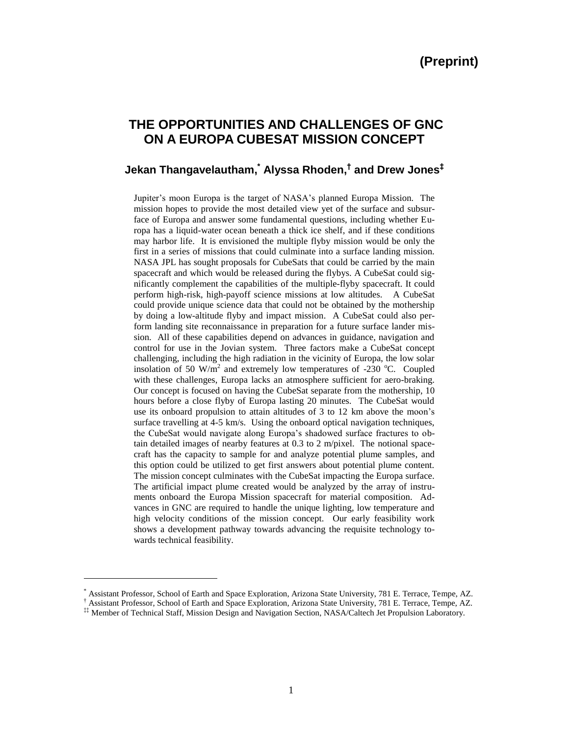# **THE OPPORTUNITIES AND CHALLENGES OF GNC ON A EUROPA CUBESAT MISSION CONCEPT**

## **Jekan Thangavelautham, \* Alyssa Rhoden, † and Drew Jones‡**

Jupiter's moon Europa is the target of NASA's planned Europa Mission. The mission hopes to provide the most detailed view yet of the surface and subsurface of Europa and answer some fundamental questions, including whether Europa has a liquid-water ocean beneath a thick ice shelf, and if these conditions may harbor life. It is envisioned the multiple flyby mission would be only the first in a series of missions that could culminate into a surface landing mission. NASA JPL has sought proposals for CubeSats that could be carried by the main spacecraft and which would be released during the flybys. A CubeSat could significantly complement the capabilities of the multiple-flyby spacecraft. It could perform high-risk, high-payoff science missions at low altitudes. A CubeSat could provide unique science data that could not be obtained by the mothership by doing a low-altitude flyby and impact mission. A CubeSat could also perform landing site reconnaissance in preparation for a future surface lander mission. All of these capabilities depend on advances in guidance, navigation and control for use in the Jovian system. Three factors make a CubeSat concept challenging, including the high radiation in the vicinity of Europa, the low solar insolation of 50  $W/m^2$  and extremely low temperatures of -230 °C. Coupled with these challenges, Europa lacks an atmosphere sufficient for aero-braking. Our concept is focused on having the CubeSat separate from the mothership, 10 hours before a close flyby of Europa lasting 20 minutes. The CubeSat would use its onboard propulsion to attain altitudes of 3 to 12 km above the moon's surface travelling at 4-5 km/s. Using the onboard optical navigation techniques, the CubeSat would navigate along Europa's shadowed surface fractures to obtain detailed images of nearby features at 0.3 to 2 m/pixel. The notional spacecraft has the capacity to sample for and analyze potential plume samples, and this option could be utilized to get first answers about potential plume content. The mission concept culminates with the CubeSat impacting the Europa surface. The artificial impact plume created would be analyzed by the array of instruments onboard the Europa Mission spacecraft for material composition. Advances in GNC are required to handle the unique lighting, low temperature and high velocity conditions of the mission concept. Our early feasibility work shows a development pathway towards advancing the requisite technology towards technical feasibility.

 $\overline{\phantom{a}}$ 

<sup>\*</sup> Assistant Professor, School of Earth and Space Exploration, Arizona State University, 781 E. Terrace, Tempe, AZ.

<sup>†</sup> Assistant Professor, School of Earth and Space Exploration, Arizona State University, 781 E. Terrace, Tempe, AZ.

<sup>‡‡</sup> Member of Technical Staff, Mission Design and Navigation Section, NASA/Caltech Jet Propulsion Laboratory.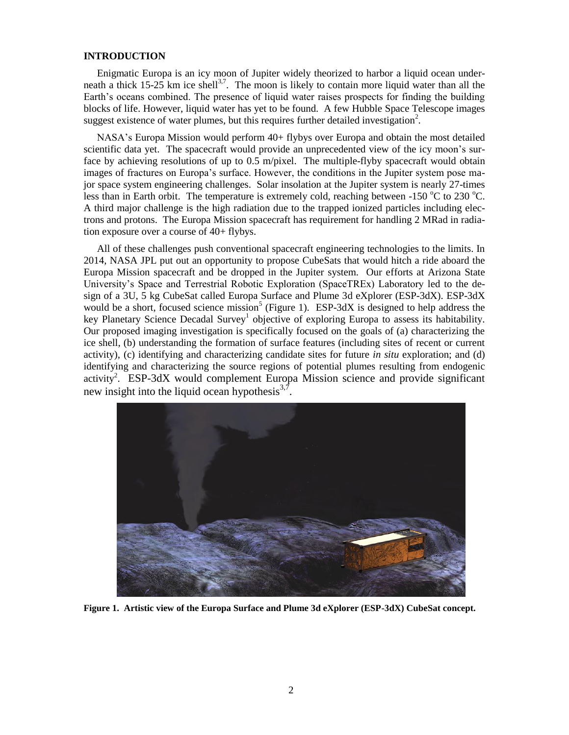#### **INTRODUCTION**

Enigmatic Europa is an icy moon of Jupiter widely theorized to harbor a liquid ocean underneath a thick 15-25 km ice shell<sup>3,7</sup>. The moon is likely to contain more liquid water than all the Earth's oceans combined. The presence of liquid water raises prospects for finding the building blocks of life. However, liquid water has yet to be found. A few Hubble Space Telescope images suggest existence of water plumes, but this requires further detailed investigation<sup>2</sup>.

NASA's Europa Mission would perform 40+ flybys over Europa and obtain the most detailed scientific data yet. The spacecraft would provide an unprecedented view of the icy moon's surface by achieving resolutions of up to 0.5 m/pixel. The multiple-flyby spacecraft would obtain images of fractures on Europa's surface. However, the conditions in the Jupiter system pose major space system engineering challenges. Solar insolation at the Jupiter system is nearly 27-times less than in Earth orbit. The temperature is extremely cold, reaching between  $-150^{\circ}$ C to 230 °C. A third major challenge is the high radiation due to the trapped ionized particles including electrons and protons. The Europa Mission spacecraft has requirement for handling 2 MRad in radiation exposure over a course of 40+ flybys.

All of these challenges push conventional spacecraft engineering technologies to the limits. In 2014, NASA JPL put out an opportunity to propose CubeSats that would hitch a ride aboard the Europa Mission spacecraft and be dropped in the Jupiter system. Our efforts at Arizona State University's Space and Terrestrial Robotic Exploration (SpaceTREx) Laboratory led to the design of a 3U, 5 kg CubeSat called Europa Surface and Plume 3d eXplorer (ESP-3dX). ESP-3dX would be a short, focused science mission<sup>5</sup> (Figure 1). ESP-3dX is designed to help address the key Planetary Science Decadal Survey<sup>1</sup> objective of exploring Europa to assess its habitability. Our proposed imaging investigation is specifically focused on the goals of (a) characterizing the ice shell, (b) understanding the formation of surface features (including sites of recent or current activity), (c) identifying and characterizing candidate sites for future *in situ* exploration; and (d) identifying and characterizing the source regions of potential plumes resulting from endogenic activity<sup>2</sup>. ESP-3dX would complement Europa Mission science and provide significant new insight into the liquid ocean hypothesis $^{3,7}$ .



**Figure 1. Artistic view of the Europa Surface and Plume 3d eXplorer (ESP-3dX) CubeSat concept.**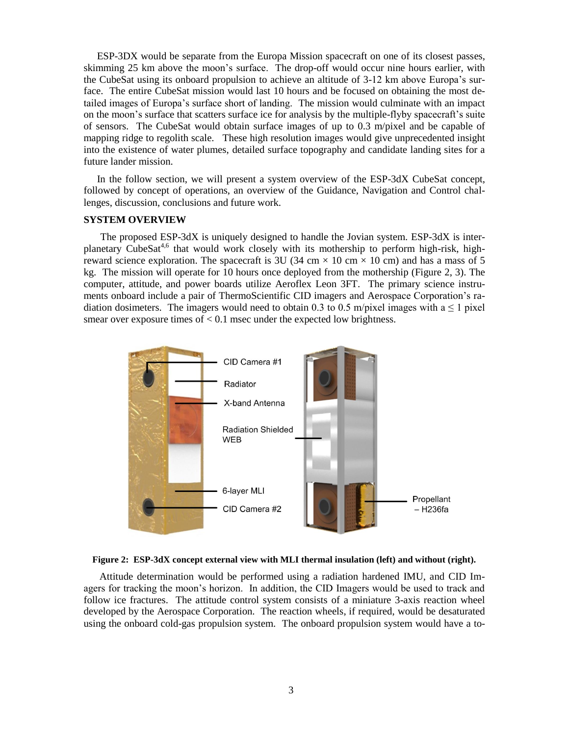ESP-3DX would be separate from the Europa Mission spacecraft on one of its closest passes, skimming 25 km above the moon's surface. The drop-off would occur nine hours earlier, with the CubeSat using its onboard propulsion to achieve an altitude of 3-12 km above Europa's surface. The entire CubeSat mission would last 10 hours and be focused on obtaining the most detailed images of Europa's surface short of landing. The mission would culminate with an impact on the moon's surface that scatters surface ice for analysis by the multiple-flyby spacecraft's suite of sensors. The CubeSat would obtain surface images of up to 0.3 m/pixel and be capable of mapping ridge to regolith scale. These high resolution images would give unprecedented insight into the existence of water plumes, detailed surface topography and candidate landing sites for a future lander mission.

In the follow section, we will present a system overview of the ESP-3dX CubeSat concept, followed by concept of operations, an overview of the Guidance, Navigation and Control challenges, discussion, conclusions and future work.

#### **SYSTEM OVERVIEW**

The proposed ESP-3dX is uniquely designed to handle the Jovian system. ESP-3dX is interplanetary CubeSat<sup>4,6</sup> that would work closely with its mothership to perform high-risk, highreward science exploration. The spacecraft is 3U (34 cm  $\times$  10 cm  $\times$  10 cm) and has a mass of 5 kg. The mission will operate for 10 hours once deployed from the mothership (Figure 2, 3). The computer, attitude, and power boards utilize Aeroflex Leon 3FT. The primary science instruments onboard include a pair of ThermoScientific CID imagers and Aerospace Corporation's radiation dosimeters. The imagers would need to obtain 0.3 to 0.5 m/pixel images with a  $\leq 1$  pixel smear over exposure times of  $< 0.1$  msec under the expected low brightness.





Attitude determination would be performed using a radiation hardened IMU, and CID Imagers for tracking the moon's horizon. In addition, the CID Imagers would be used to track and follow ice fractures. The attitude control system consists of a miniature 3-axis reaction wheel developed by the Aerospace Corporation. The reaction wheels, if required, would be desaturated using the onboard cold-gas propulsion system. The onboard propulsion system would have a to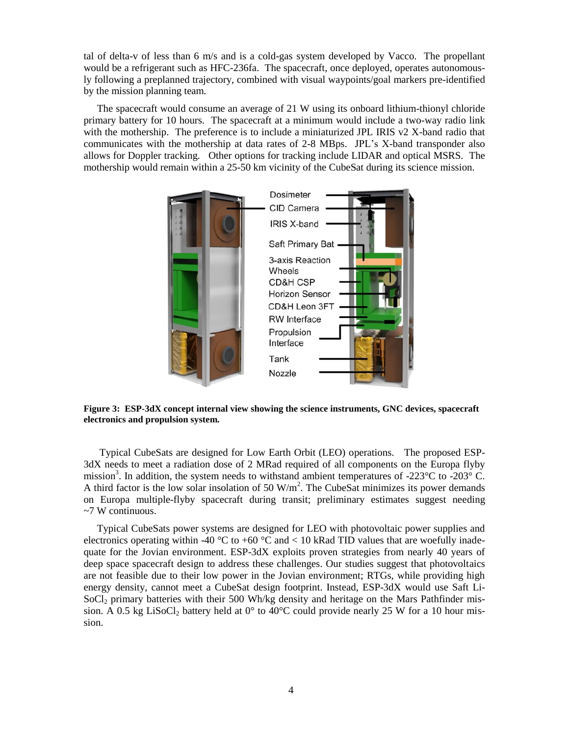tal of delta-v of less than 6 m/s and is a cold-gas system developed by Vacco. The propellant would be a refrigerant such as HFC-236fa. The spacecraft, once deployed, operates autonomously following a preplanned trajectory, combined with visual waypoints/goal markers pre-identified by the mission planning team.

The spacecraft would consume an average of 21 W using its onboard lithium-thionyl chloride primary battery for 10 hours. The spacecraft at a minimum would include a two-way radio link with the mothership. The preference is to include a miniaturized JPL IRIS  $v2$  X-band radio that communicates with the mothership at data rates of 2-8 MBps. JPL's X-band transponder also allows for Doppler tracking. Other options for tracking include LIDAR and optical MSRS. The mothership would remain within a 25-50 km vicinity of the CubeSat during its science mission.



**Figure 3: ESP-3dX concept internal view showing the science instruments, GNC devices, spacecraft electronics and propulsion system.**

Typical CubeSats are designed for Low Earth Orbit (LEO) operations. The proposed ESP-3dX needs to meet a radiation dose of 2 MRad required of all components on the Europa flyby mission<sup>3</sup>. In addition, the system needs to withstand ambient temperatures of -223 °C to -203 °C. A third factor is the low solar insolation of 50  $W/m<sup>2</sup>$ . The CubeSat minimizes its power demands on Europa multiple-flyby spacecraft during transit; preliminary estimates suggest needing ~7 W continuous.

Typical CubeSats power systems are designed for LEO with photovoltaic power supplies and electronics operating within -40  $\degree$ C to +60  $\degree$ C and < 10 kRad TID values that are woefully inadequate for the Jovian environment. ESP-3dX exploits proven strategies from nearly 40 years of deep space spacecraft design to address these challenges. Our studies suggest that photovoltaics are not feasible due to their low power in the Jovian environment; RTGs, while providing high energy density, cannot meet a CubeSat design footprint. Instead, ESP-3dX would use Saft Li- $SoCl<sub>2</sub>$  primary batteries with their 500 Wh/kg density and heritage on the Mars Pathfinder mission. A 0.5 kg LiSoCl<sub>2</sub> battery held at  $0^{\circ}$  to 40<sup>o</sup>C could provide nearly 25 W for a 10 hour mission.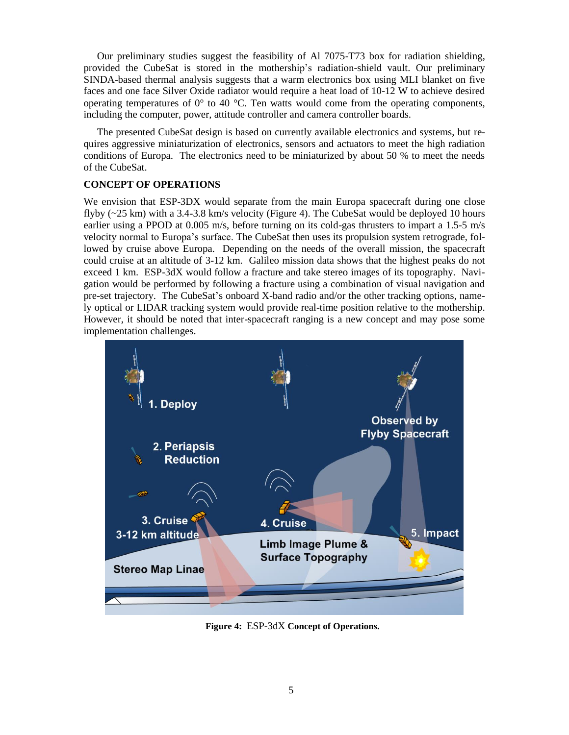Our preliminary studies suggest the feasibility of Al 7075-T73 box for radiation shielding, provided the CubeSat is stored in the mothership's radiation-shield vault. Our preliminary SINDA-based thermal analysis suggests that a warm electronics box using MLI blanket on five faces and one face Silver Oxide radiator would require a heat load of 10-12 W to achieve desired operating temperatures of  $0^{\circ}$  to 40 °C. Ten watts would come from the operating components, including the computer, power, attitude controller and camera controller boards.

The presented CubeSat design is based on currently available electronics and systems, but requires aggressive miniaturization of electronics, sensors and actuators to meet the high radiation conditions of Europa. The electronics need to be miniaturized by about 50 % to meet the needs of the CubeSat.

## **CONCEPT OF OPERATIONS**

We envision that ESP-3DX would separate from the main Europa spacecraft during one close flyby (~25 km) with a 3.4-3.8 km/s velocity (Figure 4). The CubeSat would be deployed 10 hours earlier using a PPOD at 0.005 m/s, before turning on its cold-gas thrusters to impart a 1.5-5 m/s velocity normal to Europa's surface. The CubeSat then uses its propulsion system retrograde, followed by cruise above Europa. Depending on the needs of the overall mission, the spacecraft could cruise at an altitude of 3-12 km. Galileo mission data shows that the highest peaks do not exceed 1 km. ESP-3dX would follow a fracture and take stereo images of its topography. Navigation would be performed by following a fracture using a combination of visual navigation and pre-set trajectory. The CubeSat's onboard X-band radio and/or the other tracking options, namely optical or LIDAR tracking system would provide real-time position relative to the mothership. However, it should be noted that inter-spacecraft ranging is a new concept and may pose some implementation challenges.



**Figure 4:** ESP-3dX **Concept of Operations.**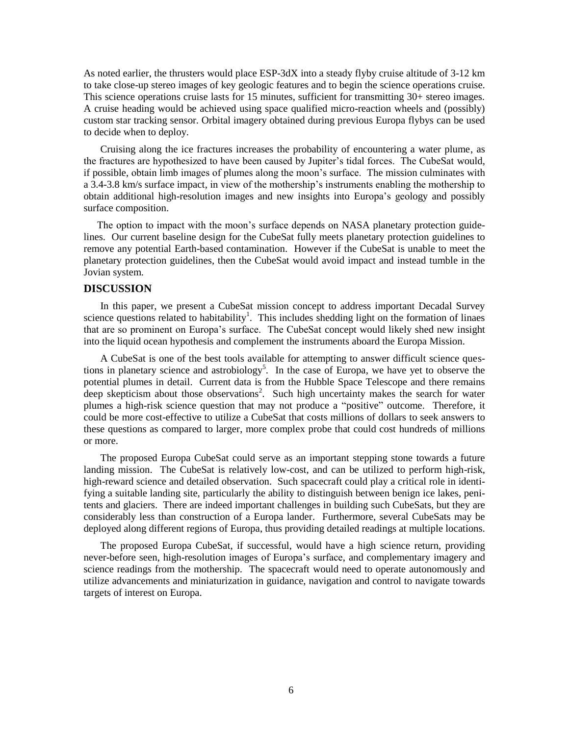As noted earlier, the thrusters would place ESP-3dX into a steady flyby cruise altitude of 3-12 km to take close-up stereo images of key geologic features and to begin the science operations cruise. This science operations cruise lasts for 15 minutes, sufficient for transmitting 30+ stereo images. A cruise heading would be achieved using space qualified micro-reaction wheels and (possibly) custom star tracking sensor. Orbital imagery obtained during previous Europa flybys can be used to decide when to deploy.

Cruising along the ice fractures increases the probability of encountering a water plume, as the fractures are hypothesized to have been caused by Jupiter's tidal forces. The CubeSat would, if possible, obtain limb images of plumes along the moon's surface. The mission culminates with a 3.4-3.8 km/s surface impact, in view of the mothership's instruments enabling the mothership to obtain additional high-resolution images and new insights into Europa's geology and possibly surface composition.

The option to impact with the moon's surface depends on NASA planetary protection guidelines. Our current baseline design for the CubeSat fully meets planetary protection guidelines to remove any potential Earth-based contamination. However if the CubeSat is unable to meet the planetary protection guidelines, then the CubeSat would avoid impact and instead tumble in the Jovian system.

## **DISCUSSION**

In this paper, we present a CubeSat mission concept to address important Decadal Survey science questions related to habitability<sup>1</sup>. This includes shedding light on the formation of linaes that are so prominent on Europa's surface. The CubeSat concept would likely shed new insight into the liquid ocean hypothesis and complement the instruments aboard the Europa Mission.

A CubeSat is one of the best tools available for attempting to answer difficult science questions in planetary science and astrobiology<sup>5</sup>. In the case of Europa, we have yet to observe the potential plumes in detail. Current data is from the Hubble Space Telescope and there remains deep skepticism about those observations<sup>2</sup>. Such high uncertainty makes the search for water plumes a high-risk science question that may not produce a "positive" outcome. Therefore, it could be more cost-effective to utilize a CubeSat that costs millions of dollars to seek answers to these questions as compared to larger, more complex probe that could cost hundreds of millions or more.

The proposed Europa CubeSat could serve as an important stepping stone towards a future landing mission. The CubeSat is relatively low-cost, and can be utilized to perform high-risk, high-reward science and detailed observation. Such spacecraft could play a critical role in identifying a suitable landing site, particularly the ability to distinguish between benign ice lakes, penitents and glaciers. There are indeed important challenges in building such CubeSats, but they are considerably less than construction of a Europa lander. Furthermore, several CubeSats may be deployed along different regions of Europa, thus providing detailed readings at multiple locations.

The proposed Europa CubeSat, if successful, would have a high science return, providing never-before seen, high-resolution images of Europa's surface, and complementary imagery and science readings from the mothership. The spacecraft would need to operate autonomously and utilize advancements and miniaturization in guidance, navigation and control to navigate towards targets of interest on Europa.